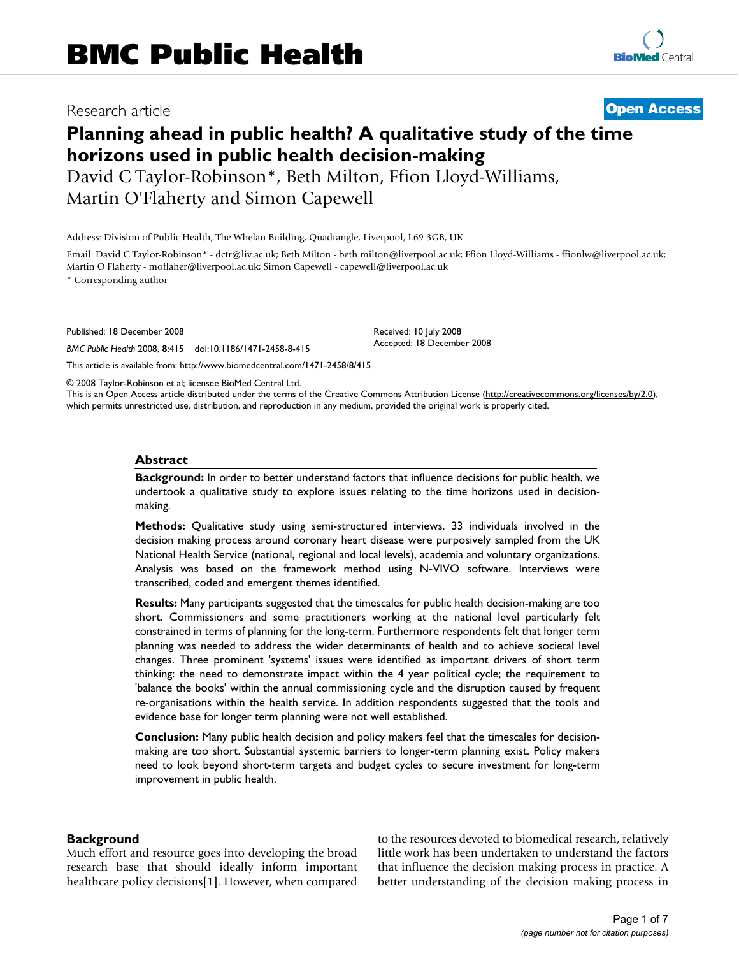## Research article **[Open Access](http://www.biomedcentral.com/info/about/charter/)**

# **Planning ahead in public health? A qualitative study of the time horizons used in public health decision-making** David C Taylor-Robinson\*, Beth Milton, Ffion Lloyd-Williams,

# Martin O'Flaherty and Simon Capewell

Address: Division of Public Health, The Whelan Building, Quadrangle, Liverpool, L69 3GB, UK

Email: David C Taylor-Robinson\* - dctr@liv.ac.uk; Beth Milton - beth.milton@liverpool.ac.uk; Ffion Lloyd-Williams - ffionlw@liverpool.ac.uk; Martin O'Flaherty - moflaher@liverpool.ac.uk; Simon Capewell - capewell@liverpool.ac.uk

> Received: 10 July 2008 Accepted: 18 December 2008

\* Corresponding author

Published: 18 December 2008

*BMC Public Health* 2008, **8**:415 doi:10.1186/1471-2458-8-415

[This article is available from: http://www.biomedcentral.com/1471-2458/8/415](http://www.biomedcentral.com/1471-2458/8/415)

© 2008 Taylor-Robinson et al; licensee BioMed Central Ltd.

This is an Open Access article distributed under the terms of the Creative Commons Attribution License [\(http://creativecommons.org/licenses/by/2.0\)](http://creativecommons.org/licenses/by/2.0), which permits unrestricted use, distribution, and reproduction in any medium, provided the original work is properly cited.

#### **Abstract**

**Background:** In order to better understand factors that influence decisions for public health, we undertook a qualitative study to explore issues relating to the time horizons used in decisionmaking.

**Methods:** Qualitative study using semi-structured interviews. 33 individuals involved in the decision making process around coronary heart disease were purposively sampled from the UK National Health Service (national, regional and local levels), academia and voluntary organizations. Analysis was based on the framework method using N-VIVO software. Interviews were transcribed, coded and emergent themes identified.

**Results:** Many participants suggested that the timescales for public health decision-making are too short. Commissioners and some practitioners working at the national level particularly felt constrained in terms of planning for the long-term. Furthermore respondents felt that longer term planning was needed to address the wider determinants of health and to achieve societal level changes. Three prominent 'systems' issues were identified as important drivers of short term thinking: the need to demonstrate impact within the 4 year political cycle; the requirement to 'balance the books' within the annual commissioning cycle and the disruption caused by frequent re-organisations within the health service. In addition respondents suggested that the tools and evidence base for longer term planning were not well established.

**Conclusion:** Many public health decision and policy makers feel that the timescales for decisionmaking are too short. Substantial systemic barriers to longer-term planning exist. Policy makers need to look beyond short-term targets and budget cycles to secure investment for long-term improvement in public health.

#### **Background**

Much effort and resource goes into developing the broad research base that should ideally inform important healthcare policy decisions[1]. However, when compared to the resources devoted to biomedical research, relatively little work has been undertaken to understand the factors that influence the decision making process in practice. A better understanding of the decision making process in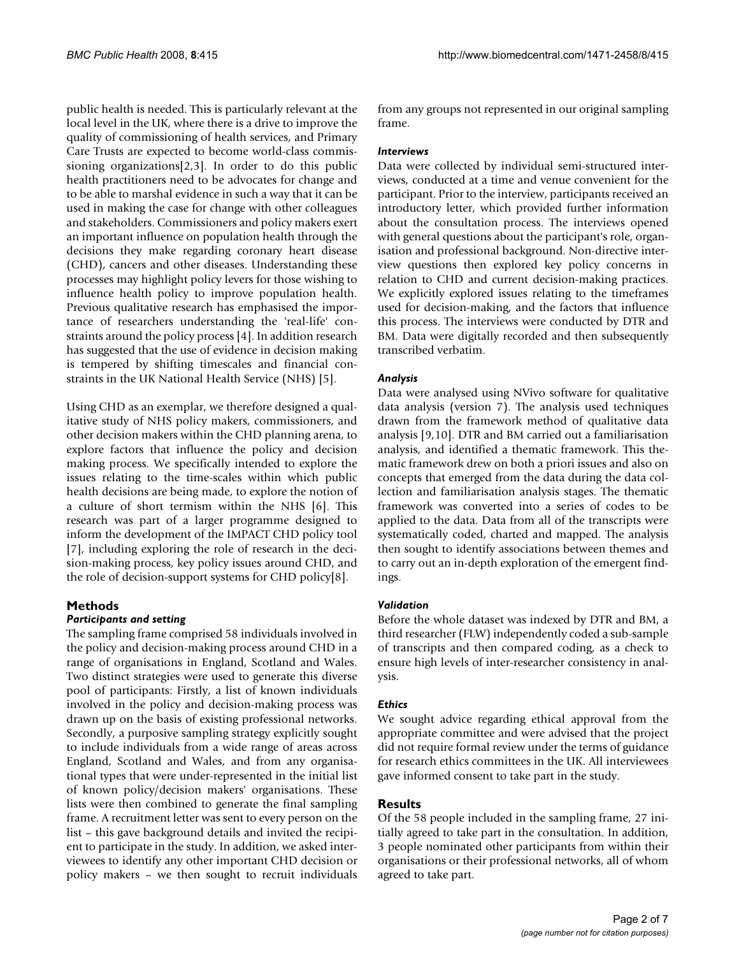public health is needed. This is particularly relevant at the local level in the UK, where there is a drive to improve the quality of commissioning of health services, and Primary Care Trusts are expected to become world-class commissioning organizations[2,3]. In order to do this public health practitioners need to be advocates for change and to be able to marshal evidence in such a way that it can be used in making the case for change with other colleagues and stakeholders. Commissioners and policy makers exert an important influence on population health through the decisions they make regarding coronary heart disease (CHD), cancers and other diseases. Understanding these processes may highlight policy levers for those wishing to influence health policy to improve population health. Previous qualitative research has emphasised the importance of researchers understanding the 'real-life' constraints around the policy process [4]. In addition research has suggested that the use of evidence in decision making is tempered by shifting timescales and financial constraints in the UK National Health Service (NHS) [5].

Using CHD as an exemplar, we therefore designed a qualitative study of NHS policy makers, commissioners, and other decision makers within the CHD planning arena, to explore factors that influence the policy and decision making process. We specifically intended to explore the issues relating to the time-scales within which public health decisions are being made, to explore the notion of a culture of short termism within the NHS [6]. This research was part of a larger programme designed to inform the development of the IMPACT CHD policy tool [7], including exploring the role of research in the decision-making process, key policy issues around CHD, and the role of decision-support systems for CHD policy[8].

### **Methods**

#### *Participants and setting*

The sampling frame comprised 58 individuals involved in the policy and decision-making process around CHD in a range of organisations in England, Scotland and Wales. Two distinct strategies were used to generate this diverse pool of participants: Firstly, a list of known individuals involved in the policy and decision-making process was drawn up on the basis of existing professional networks. Secondly, a purposive sampling strategy explicitly sought to include individuals from a wide range of areas across England, Scotland and Wales, and from any organisational types that were under-represented in the initial list of known policy/decision makers' organisations. These lists were then combined to generate the final sampling frame. A recruitment letter was sent to every person on the list – this gave background details and invited the recipient to participate in the study. In addition, we asked interviewees to identify any other important CHD decision or policy makers – we then sought to recruit individuals from any groups not represented in our original sampling frame.

#### *Interviews*

Data were collected by individual semi-structured interviews, conducted at a time and venue convenient for the participant. Prior to the interview, participants received an introductory letter, which provided further information about the consultation process. The interviews opened with general questions about the participant's role, organisation and professional background. Non-directive interview questions then explored key policy concerns in relation to CHD and current decision-making practices. We explicitly explored issues relating to the timeframes used for decision-making, and the factors that influence this process. The interviews were conducted by DTR and BM. Data were digitally recorded and then subsequently transcribed verbatim.

#### *Analysis*

Data were analysed using NVivo software for qualitative data analysis (version 7). The analysis used techniques drawn from the framework method of qualitative data analysis [9,10]. DTR and BM carried out a familiarisation analysis, and identified a thematic framework. This thematic framework drew on both a priori issues and also on concepts that emerged from the data during the data collection and familiarisation analysis stages. The thematic framework was converted into a series of codes to be applied to the data. Data from all of the transcripts were systematically coded, charted and mapped. The analysis then sought to identify associations between themes and to carry out an in-depth exploration of the emergent findings.

#### *Validation*

Before the whole dataset was indexed by DTR and BM, a third researcher (FLW) independently coded a sub-sample of transcripts and then compared coding, as a check to ensure high levels of inter-researcher consistency in analysis.

#### *Ethics*

We sought advice regarding ethical approval from the appropriate committee and were advised that the project did not require formal review under the terms of guidance for research ethics committees in the UK. All interviewees gave informed consent to take part in the study.

#### **Results**

Of the 58 people included in the sampling frame, 27 initially agreed to take part in the consultation. In addition, 3 people nominated other participants from within their organisations or their professional networks, all of whom agreed to take part.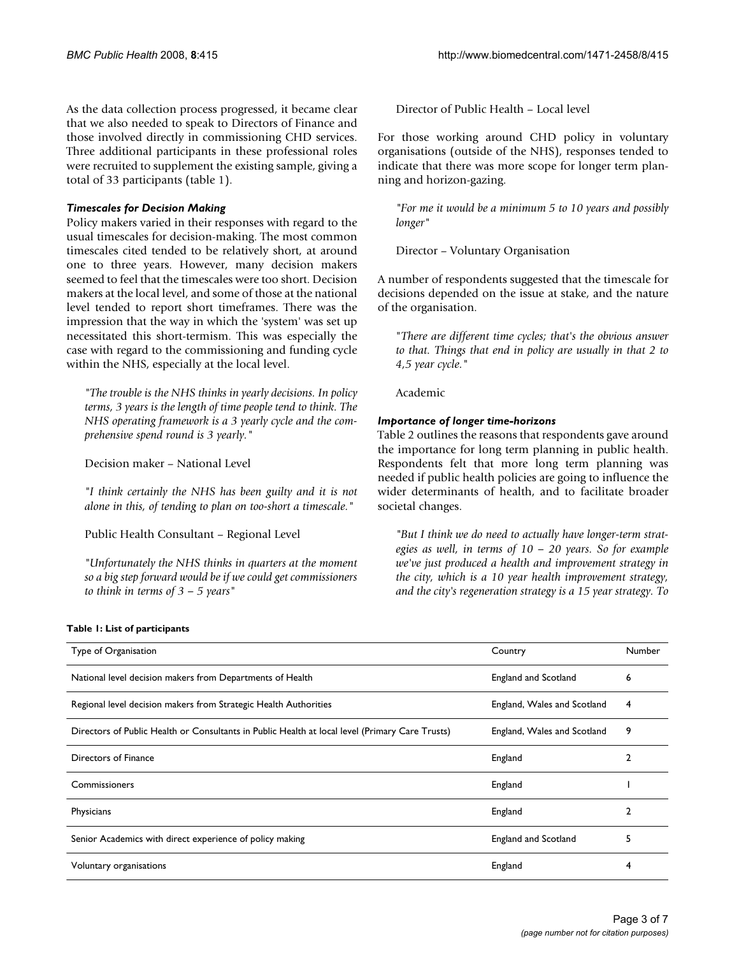As the data collection process progressed, it became clear that we also needed to speak to Directors of Finance and those involved directly in commissioning CHD services. Three additional participants in these professional roles were recruited to supplement the existing sample, giving a total of 33 participants (table 1).

#### *Timescales for Decision Making*

Policy makers varied in their responses with regard to the usual timescales for decision-making. The most common timescales cited tended to be relatively short, at around one to three years. However, many decision makers seemed to feel that the timescales were too short. Decision makers at the local level, and some of those at the national level tended to report short timeframes. There was the impression that the way in which the 'system' was set up necessitated this short-termism. This was especially the case with regard to the commissioning and funding cycle within the NHS, especially at the local level.

*"The trouble is the NHS thinks in yearly decisions. In policy terms, 3 years is the length of time people tend to think. The NHS operating framework is a 3 yearly cycle and the comprehensive spend round is 3 yearly."*

Decision maker – National Level

*"I think certainly the NHS has been guilty and it is not alone in this, of tending to plan on too-short a timescale."*

Public Health Consultant – Regional Level

*"Unfortunately the NHS thinks in quarters at the moment so a big step forward would be if we could get commissioners to think in terms of 3 – 5 years"*

Director of Public Health – Local level

For those working around CHD policy in voluntary organisations (outside of the NHS), responses tended to indicate that there was more scope for longer term planning and horizon-gazing.

*"For me it would be a minimum 5 to 10 years and possibly longer"*

Director – Voluntary Organisation

A number of respondents suggested that the timescale for decisions depended on the issue at stake, and the nature of the organisation.

"*There are different time cycles; that's the obvious answer to that. Things that end in policy are usually in that 2 to 4,5 year cycle."*

Academic

#### *Importance of longer time-horizons*

Table 2 outlines the reasons that respondents gave around the importance for long term planning in public health. Respondents felt that more long term planning was needed if public health policies are going to influence the wider determinants of health, and to facilitate broader societal changes.

*"But I think we do need to actually have longer-term strategies as well, in terms of 10 – 20 years. So for example we've just produced a health and improvement strategy in the city, which is a 10 year health improvement strategy, and the city's regeneration strategy is a 15 year strategy. To*

#### **Table 1: List of participants**

| Type of Organisation                                                                            | Country                     | Number |
|-------------------------------------------------------------------------------------------------|-----------------------------|--------|
| National level decision makers from Departments of Health                                       | England and Scotland        | 6      |
| Regional level decision makers from Strategic Health Authorities                                | England, Wales and Scotland | 4      |
| Directors of Public Health or Consultants in Public Health at local level (Primary Care Trusts) | England, Wales and Scotland | 9      |
| Directors of Finance                                                                            | England                     |        |
| Commissioners                                                                                   | England                     |        |
| Physicians                                                                                      | England                     |        |
| Senior Academics with direct experience of policy making                                        | <b>England and Scotland</b> | 5      |
| Voluntary organisations                                                                         | England                     | 4      |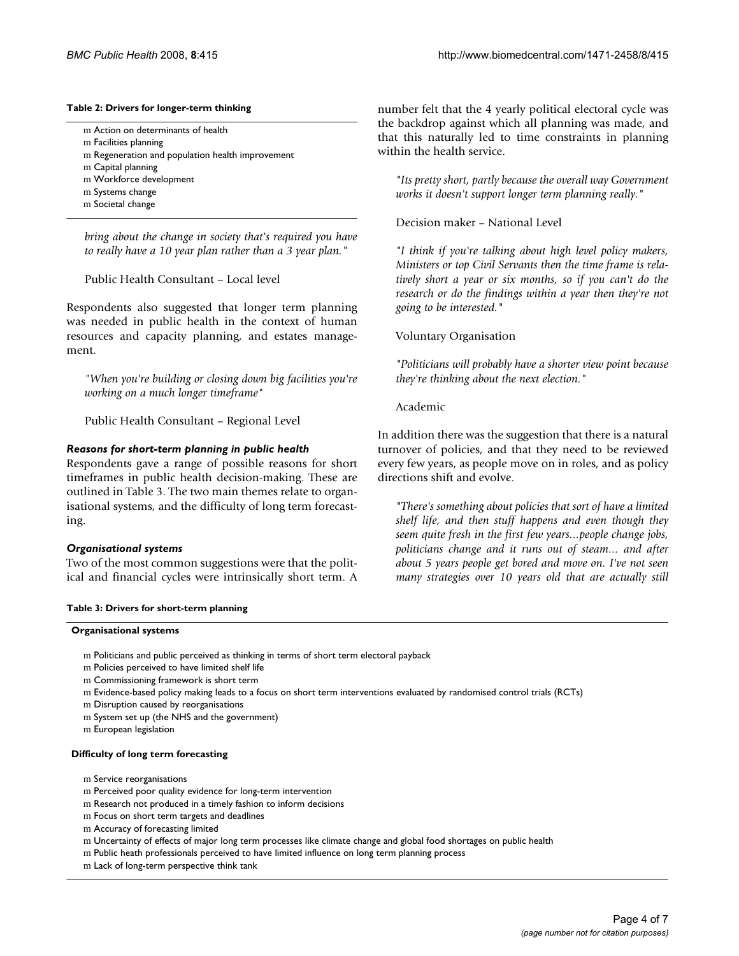#### **Table 2: Drivers for longer-term thinking**

- m Action on determinants of health
- m Facilities planning
- m Regeneration and population health improvement
- m Capital planning
- m Workforce development
- m Systems change
- m Societal change

*bring about the change in society that's required you have to really have a 10 year plan rather than a 3 year plan."*

Public Health Consultant – Local level

Respondents also suggested that longer term planning was needed in public health in the context of human resources and capacity planning, and estates management.

*"When you're building or closing down big facilities you're working on a much longer timeframe"*

Public Health Consultant – Regional Level

#### *Reasons for short-term planning in public health*

Respondents gave a range of possible reasons for short timeframes in public health decision-making. These are outlined in Table 3. The two main themes relate to organisational systems, and the difficulty of long term forecasting.

#### *Organisational systems*

Two of the most common suggestions were that the political and financial cycles were intrinsically short term. A

#### **Table 3: Drivers for short-term planning**

#### **Organisational systems**

m Politicians and public perceived as thinking in terms of short term electoral payback

m Policies perceived to have limited shelf life

m Commissioning framework is short term

- m Evidence-based policy making leads to a focus on short term interventions evaluated by randomised control trials (RCTs)
- m Disruption caused by reorganisations
- m System set up (the NHS and the government)
- m European legislation

#### **Difficulty of long term forecasting**

- m Service reorganisations
- m Perceived poor quality evidence for long-term intervention
- m Research not produced in a timely fashion to inform decisions
- m Focus on short term targets and deadlines
- m Accuracy of forecasting limited

m Uncertainty of effects of major long term processes like climate change and global food shortages on public health

m Public heath professionals perceived to have limited influence on long term planning process

m Lack of long-term perspective think tank

number felt that the 4 yearly political electoral cycle was the backdrop against which all planning was made, and that this naturally led to time constraints in planning within the health service.

*"Its pretty short, partly because the overall way Government works it doesn't support longer term planning really."*

#### Decision maker – National Level

*"I think if you're talking about high level policy makers, Ministers or top Civil Servants then the time frame is relatively short a year or six months, so if you can't do the research or do the findings within a year then they're not going to be interested."*

Voluntary Organisation

*"Politicians will probably have a shorter view point because they're thinking about the next election."*

Academic

In addition there was the suggestion that there is a natural turnover of policies, and that they need to be reviewed every few years, as people move on in roles, and as policy directions shift and evolve.

*"There's something about policies that sort of have a limited shelf life, and then stuff happens and even though they seem quite fresh in the first few years...people change jobs, politicians change and it runs out of steam... and after about 5 years people get bored and move on. I've not seen many strategies over 10 years old that are actually still*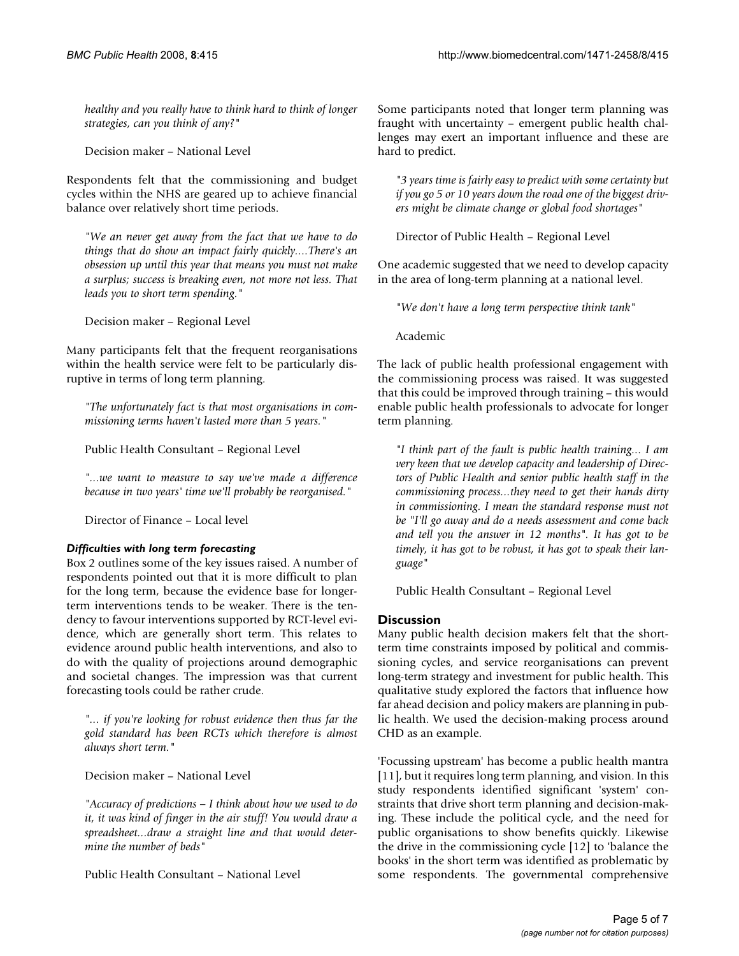*healthy and you really have to think hard to think of longer strategies, can you think of any?"*

Decision maker – National Level

Respondents felt that the commissioning and budget cycles within the NHS are geared up to achieve financial balance over relatively short time periods.

*"We an never get away from the fact that we have to do things that do show an impact fairly quickly....There's an obsession up until this year that means you must not make a surplus; success is breaking even, not more not less. That leads you to short term spending."*

Decision maker – Regional Level

Many participants felt that the frequent reorganisations within the health service were felt to be particularly disruptive in terms of long term planning.

*"The unfortunately fact is that most organisations in commissioning terms haven't lasted more than 5 years."*

Public Health Consultant – Regional Level

*"...we want to measure to say we've made a difference because in two years' time we'll probably be reorganised."*

Director of Finance – Local level

#### *Difficulties with long term forecasting*

Box 2 outlines some of the key issues raised. A number of respondents pointed out that it is more difficult to plan for the long term, because the evidence base for longerterm interventions tends to be weaker. There is the tendency to favour interventions supported by RCT-level evidence, which are generally short term. This relates to evidence around public health interventions, and also to do with the quality of projections around demographic and societal changes. The impression was that current forecasting tools could be rather crude.

*"... if you're looking for robust evidence then thus far the gold standard has been RCTs which therefore is almost always short term."*

Decision maker – National Level

*"Accuracy of predictions – I think about how we used to do it, it was kind of finger in the air stuff! You would draw a spreadsheet...draw a straight line and that would determine the number of beds"*

Public Health Consultant – National Level

Some participants noted that longer term planning was fraught with uncertainty – emergent public health challenges may exert an important influence and these are hard to predict.

*"3 years time is fairly easy to predict with some certainty but if you go 5 or 10 years down the road one of the biggest drivers might be climate change or global food shortages"*

Director of Public Health – Regional Level

One academic suggested that we need to develop capacity in the area of long-term planning at a national level.

*"We don't have a long term perspective think tank"*

Academic

The lack of public health professional engagement with the commissioning process was raised. It was suggested that this could be improved through training – this would enable public health professionals to advocate for longer term planning.

*"I think part of the fault is public health training... I am very keen that we develop capacity and leadership of Directors of Public Health and senior public health staff in the commissioning process...they need to get their hands dirty in commissioning. I mean the standard response must not be "I'll go away and do a needs assessment and come back and tell you the answer in 12 months". It has got to be timely, it has got to be robust, it has got to speak their language"*

Public Health Consultant – Regional Level

#### **Discussion**

Many public health decision makers felt that the shortterm time constraints imposed by political and commissioning cycles, and service reorganisations can prevent long-term strategy and investment for public health. This qualitative study explored the factors that influence how far ahead decision and policy makers are planning in public health. We used the decision-making process around CHD as an example.

'Focussing upstream' has become a public health mantra [11], but it requires long term planning, and vision. In this study respondents identified significant 'system' constraints that drive short term planning and decision-making. These include the political cycle, and the need for public organisations to show benefits quickly. Likewise the drive in the commissioning cycle [12] to 'balance the books' in the short term was identified as problematic by some respondents. The governmental comprehensive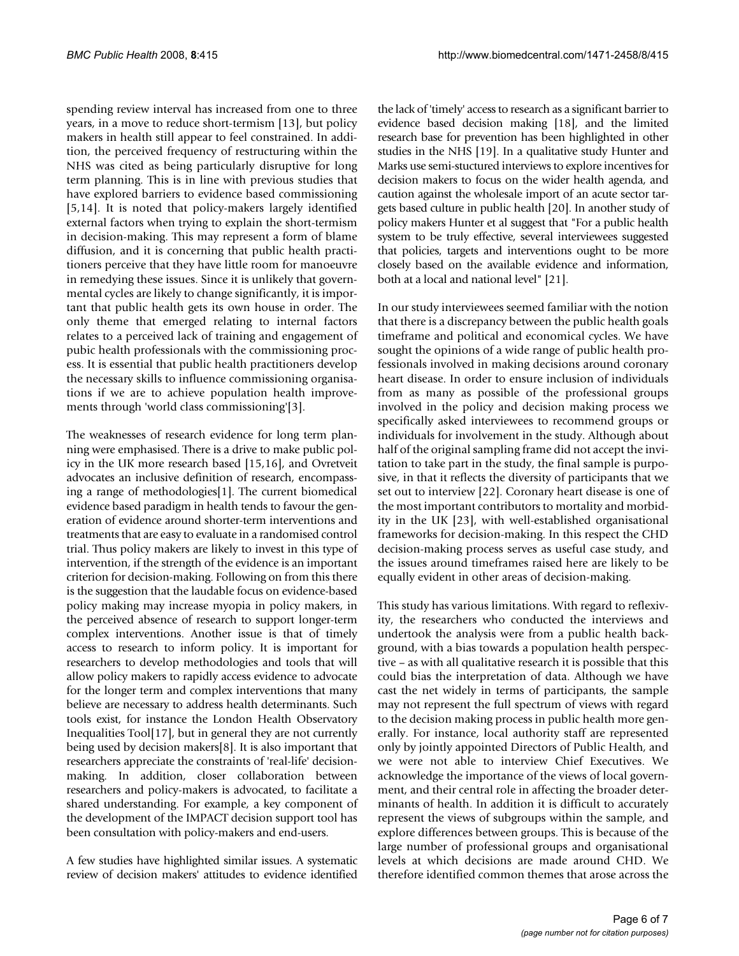spending review interval has increased from one to three years, in a move to reduce short-termism [13], but policy makers in health still appear to feel constrained. In addition, the perceived frequency of restructuring within the NHS was cited as being particularly disruptive for long term planning. This is in line with previous studies that have explored barriers to evidence based commissioning [5,14]. It is noted that policy-makers largely identified external factors when trying to explain the short-termism in decision-making. This may represent a form of blame diffusion, and it is concerning that public health practitioners perceive that they have little room for manoeuvre in remedying these issues. Since it is unlikely that governmental cycles are likely to change significantly, it is important that public health gets its own house in order. The only theme that emerged relating to internal factors relates to a perceived lack of training and engagement of pubic health professionals with the commissioning process. It is essential that public health practitioners develop the necessary skills to influence commissioning organisations if we are to achieve population health improvements through 'world class commissioning'[3].

The weaknesses of research evidence for long term planning were emphasised. There is a drive to make public policy in the UK more research based [15,16], and Ovretveit advocates an inclusive definition of research, encompassing a range of methodologies[1]. The current biomedical evidence based paradigm in health tends to favour the generation of evidence around shorter-term interventions and treatments that are easy to evaluate in a randomised control trial. Thus policy makers are likely to invest in this type of intervention, if the strength of the evidence is an important criterion for decision-making. Following on from this there is the suggestion that the laudable focus on evidence-based policy making may increase myopia in policy makers, in the perceived absence of research to support longer-term complex interventions. Another issue is that of timely access to research to inform policy. It is important for researchers to develop methodologies and tools that will allow policy makers to rapidly access evidence to advocate for the longer term and complex interventions that many believe are necessary to address health determinants. Such tools exist, for instance the London Health Observatory Inequalities Tool[17], but in general they are not currently being used by decision makers[8]. It is also important that researchers appreciate the constraints of 'real-life' decisionmaking. In addition, closer collaboration between researchers and policy-makers is advocated, to facilitate a shared understanding. For example, a key component of the development of the IMPACT decision support tool has been consultation with policy-makers and end-users.

A few studies have highlighted similar issues. A systematic review of decision makers' attitudes to evidence identified

the lack of 'timely' access to research as a significant barrier to evidence based decision making [18], and the limited research base for prevention has been highlighted in other studies in the NHS [19]. In a qualitative study Hunter and Marks use semi-stuctured interviews to explore incentives for decision makers to focus on the wider health agenda, and caution against the wholesale import of an acute sector targets based culture in public health [20]. In another study of policy makers Hunter et al suggest that "For a public health system to be truly effective, several interviewees suggested that policies, targets and interventions ought to be more closely based on the available evidence and information, both at a local and national level" [21].

In our study interviewees seemed familiar with the notion that there is a discrepancy between the public health goals timeframe and political and economical cycles. We have sought the opinions of a wide range of public health professionals involved in making decisions around coronary heart disease. In order to ensure inclusion of individuals from as many as possible of the professional groups involved in the policy and decision making process we specifically asked interviewees to recommend groups or individuals for involvement in the study. Although about half of the original sampling frame did not accept the invitation to take part in the study, the final sample is purposive, in that it reflects the diversity of participants that we set out to interview [22]. Coronary heart disease is one of the most important contributors to mortality and morbidity in the UK [23], with well-established organisational frameworks for decision-making. In this respect the CHD decision-making process serves as useful case study, and the issues around timeframes raised here are likely to be equally evident in other areas of decision-making.

This study has various limitations. With regard to reflexivity, the researchers who conducted the interviews and undertook the analysis were from a public health background, with a bias towards a population health perspective – as with all qualitative research it is possible that this could bias the interpretation of data. Although we have cast the net widely in terms of participants, the sample may not represent the full spectrum of views with regard to the decision making process in public health more generally. For instance, local authority staff are represented only by jointly appointed Directors of Public Health, and we were not able to interview Chief Executives. We acknowledge the importance of the views of local government, and their central role in affecting the broader determinants of health. In addition it is difficult to accurately represent the views of subgroups within the sample, and explore differences between groups. This is because of the large number of professional groups and organisational levels at which decisions are made around CHD. We therefore identified common themes that arose across the